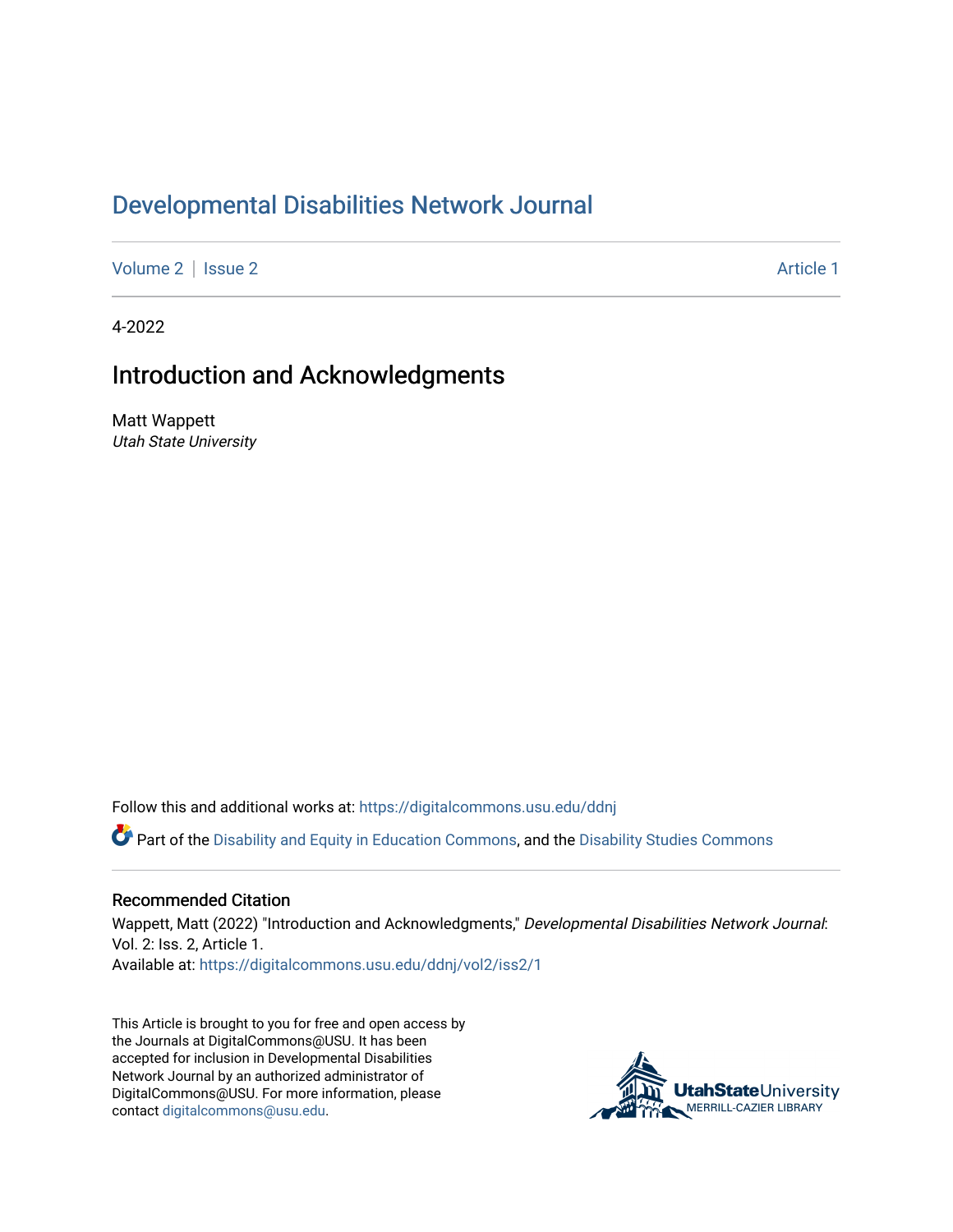## [Developmental Disabilities Network Journal](https://digitalcommons.usu.edu/ddnj)

[Volume 2](https://digitalcommons.usu.edu/ddnj/vol2) | [Issue 2](https://digitalcommons.usu.edu/ddnj/vol2/iss2) Article 1

4-2022

### Introduction and Acknowledgments

Matt Wappett Utah State University

Follow this and additional works at: [https://digitalcommons.usu.edu/ddnj](https://digitalcommons.usu.edu/ddnj?utm_source=digitalcommons.usu.edu%2Fddnj%2Fvol2%2Fiss2%2F1&utm_medium=PDF&utm_campaign=PDFCoverPages) 

Part of the [Disability and Equity in Education Commons](http://network.bepress.com/hgg/discipline/1040?utm_source=digitalcommons.usu.edu%2Fddnj%2Fvol2%2Fiss2%2F1&utm_medium=PDF&utm_campaign=PDFCoverPages), and the [Disability Studies Commons](http://network.bepress.com/hgg/discipline/1417?utm_source=digitalcommons.usu.edu%2Fddnj%2Fvol2%2Fiss2%2F1&utm_medium=PDF&utm_campaign=PDFCoverPages)

#### Recommended Citation

Wappett, Matt (2022) "Introduction and Acknowledgments," Developmental Disabilities Network Journal: Vol. 2: Iss. 2, Article 1. Available at: [https://digitalcommons.usu.edu/ddnj/vol2/iss2/1](https://digitalcommons.usu.edu/ddnj/vol2/iss2/1?utm_source=digitalcommons.usu.edu%2Fddnj%2Fvol2%2Fiss2%2F1&utm_medium=PDF&utm_campaign=PDFCoverPages) 

This Article is brought to you for free and open access by the Journals at DigitalCommons@USU. It has been accepted for inclusion in Developmental Disabilities Network Journal by an authorized administrator of DigitalCommons@USU. For more information, please contact [digitalcommons@usu.edu](mailto:digitalcommons@usu.edu).

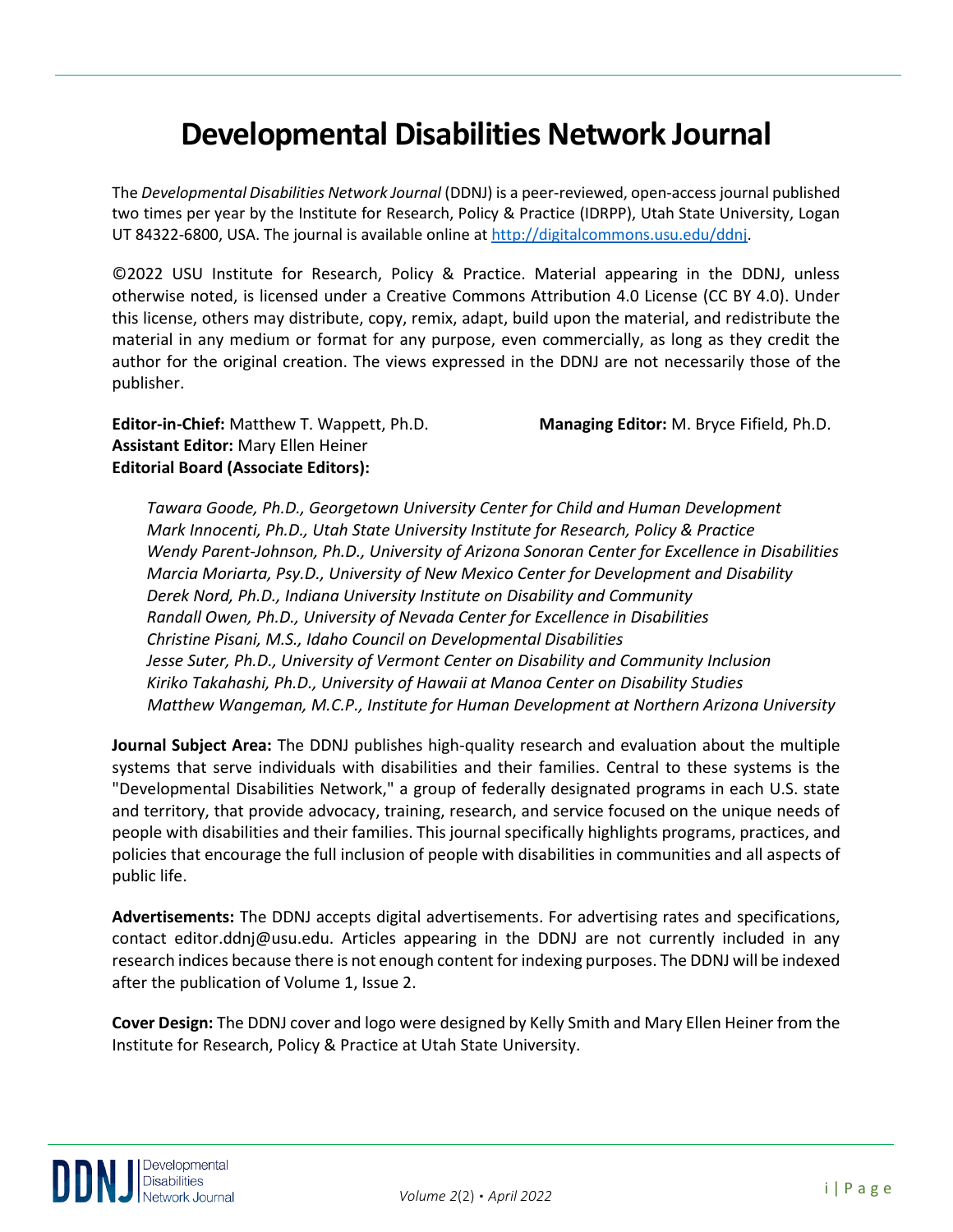## **Developmental Disabilities Network Journal**

The *Developmental Disabilities Network Journal* (DDNJ) is a peer-reviewed, open-access journal published two times per year by the Institute for Research, Policy & Practice (IDRPP), Utah State University, Logan UT 84322-6800, USA. The journal is available online at [http://digitalcommons.usu.edu/ddnj.](http://digitalcommons.usu.edu/ddnj)

©2022 USU Institute for Research, Policy & Practice. Material appearing in the DDNJ, unless otherwise noted, is licensed under a Creative Commons Attribution 4.0 License (CC BY 4.0). Under this license, others may distribute, copy, remix, adapt, build upon the material, and redistribute the material in any medium or format for any purpose, even commercially, as long as they credit the author for the original creation. The views expressed in the DDNJ are not necessarily those of the publisher.

#### **Editor-in-Chief:** Matthew T. Wappett, Ph.D. **Managing Editor:** M. Bryce Fifield, Ph.D. **Assistant Editor:** Mary Ellen Heiner **Editorial Board (Associate Editors):**

*Tawara Goode, Ph.D., Georgetown University Center for Child and Human Development Mark Innocenti, Ph.D., Utah State University Institute for Research, Policy & Practice Wendy Parent-Johnson, Ph.D., University of Arizona Sonoran Center for Excellence in Disabilities Marcia Moriarta, Psy.D., University of New Mexico Center for Development and Disability Derek Nord, Ph.D., Indiana University Institute on Disability and Community Randall Owen, Ph.D., University of Nevada Center for Excellence in Disabilities Christine Pisani, M.S., Idaho Council on Developmental Disabilities Jesse Suter, Ph.D., University of Vermont Center on Disability and Community Inclusion Kiriko Takahashi, Ph.D., University of Hawaii at Manoa Center on Disability Studies Matthew Wangeman, M.C.P., Institute for Human Development at Northern Arizona University*

**Journal Subject Area:** The DDNJ publishes high-quality research and evaluation about the multiple systems that serve individuals with disabilities and their families. Central to these systems is the "Developmental Disabilities Network," a group of federally designated programs in each U.S. state and territory, that provide advocacy, training, research, and service focused on the unique needs of people with disabilities and their families. This journal specifically highlights programs, practices, and policies that encourage the full inclusion of people with disabilities in communities and all aspects of public life.

**Advertisements:** The DDNJ accepts digital advertisements. For advertising rates and specifications, contact editor.ddnj@usu.edu. Articles appearing in the DDNJ are not currently included in any research indices because there is not enough content for indexing purposes. The DDNJ will be indexed after the publication of Volume 1, Issue 2.

**Cover Design:** The DDNJ cover and logo were designed by Kelly Smith and Mary Ellen Heiner from the Institute for Research, Policy & Practice at Utah State University.